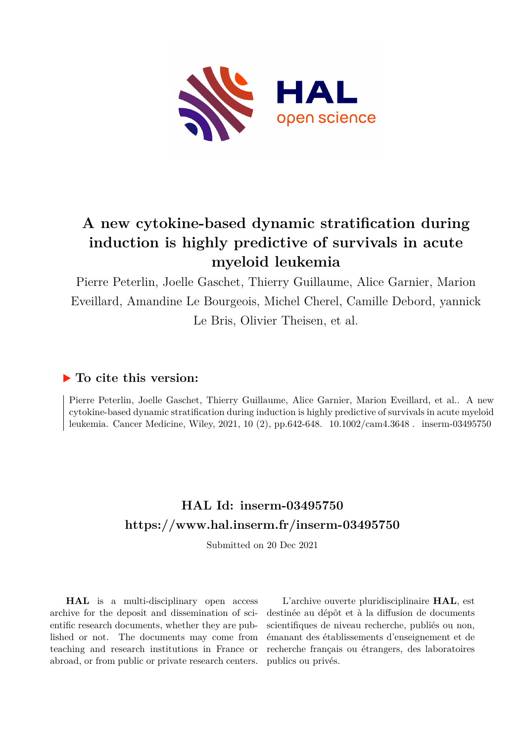

# **A new cytokine-based dynamic stratification during induction is highly predictive of survivals in acute myeloid leukemia**

Pierre Peterlin, Joelle Gaschet, Thierry Guillaume, Alice Garnier, Marion Eveillard, Amandine Le Bourgeois, Michel Cherel, Camille Debord, yannick Le Bris, Olivier Theisen, et al.

# **To cite this version:**

Pierre Peterlin, Joelle Gaschet, Thierry Guillaume, Alice Garnier, Marion Eveillard, et al.. A new cytokine-based dynamic stratification during induction is highly predictive of survivals in acute myeloid leukemia. Cancer Medicine, Wiley, 2021, 10 (2), pp.642-648.  $10.1002/\text{cam}4.3648$ . inserm-03495750

# **HAL Id: inserm-03495750 <https://www.hal.inserm.fr/inserm-03495750>**

Submitted on 20 Dec 2021

**HAL** is a multi-disciplinary open access archive for the deposit and dissemination of scientific research documents, whether they are published or not. The documents may come from teaching and research institutions in France or abroad, or from public or private research centers.

L'archive ouverte pluridisciplinaire **HAL**, est destinée au dépôt et à la diffusion de documents scientifiques de niveau recherche, publiés ou non, émanant des établissements d'enseignement et de recherche français ou étrangers, des laboratoires publics ou privés.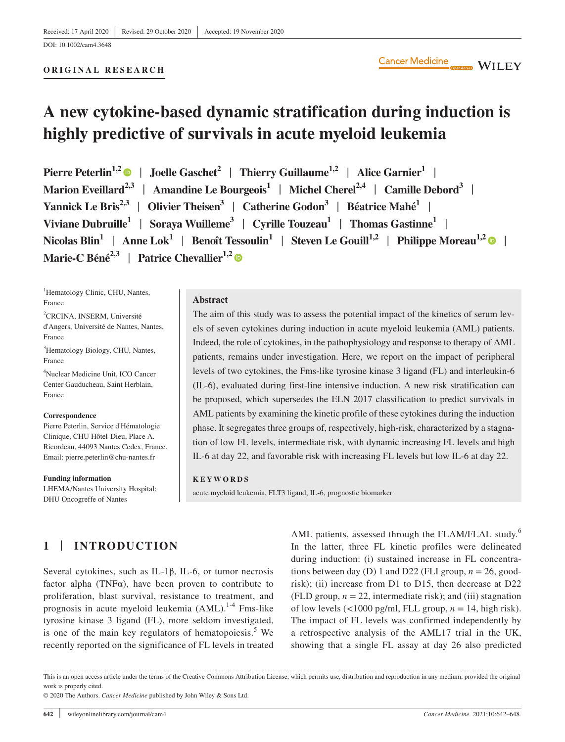DOI: 10.1002/cam4.3648

#### **ORIGINAL RESEARCH**

# **A new cytokine-based dynamic stratification during induction is highly predictive of survivals in acute myeloid leukemia**

**Pierre Peterlin<sup>1,[2](https://orcid.org/0000-0001-5463-6686)</sup> | Joelle Gaschet<sup>2</sup> | Thierry Guillaume<sup>1,2</sup> | Alice Garnier<sup>1</sup> | Marion Eveillard**<sup>2,3</sup> | Amandine Le Bourgeois<sup>1</sup> | Michel Cherel<sup>2,4</sup> | Camille Debord<sup>3</sup> | **Yannick Le Bris2,3** | **Olivier Theisen3** | **Catherine Godon3** | **Béatrice Mahé1** | **Viviane Dubruille<sup>1</sup> | Sorava Wuilleme<sup>3</sup> | Cyrille Touzeau<sup>1</sup> | Thomas Gastinne<sup>1</sup> |** Nicolas Blin<sup>1</sup> | Anne Lok<sup>1</sup> | Benoît Tessoulin<sup>1</sup> | Steven Le Gouill<sup>1,[2](https://orcid.org/0000-0003-1780-8746)</sup> | Philippe Moreau<sup>1,2</sup> | | **Marie-C Béné<sup>[2](https://orcid.org/0000-0003-3142-5581),3</sup> | Patrice Chevallier<sup>1,2</sup> ©** 

<sup>1</sup>Hematology Clinic, CHU, Nantes, France 2 CRCINA, INSERM, Université d'Angers, Université de Nantes, Nantes, France 3 Hematology Biology, CHU, Nantes, France 4 Nuclear Medicine Unit, ICO Cancer Center Gauducheau, Saint Herblain, France

#### **Correspondence**

Pierre Peterlin, Service d'Hématologie Clinique, CHU Hôtel-Dieu, Place A. Ricordeau, 44093 Nantes Cedex, France. Email: [pierre.peterlin@chu-nantes.fr](mailto:pierre.peterlin@chu-nantes.fr)

**Funding information** LHEMA/Nantes University Hospital; DHU Oncogreffe of Nantes

#### **Abstract**

The aim of this study was to assess the potential impact of the kinetics of serum levels of seven cytokines during induction in acute myeloid leukemia (AML) patients. Indeed, the role of cytokines, in the pathophysiology and response to therapy of AML patients, remains under investigation. Here, we report on the impact of peripheral levels of two cytokines, the Fms-like tyrosine kinase 3 ligand (FL) and interleukin-6 (IL-6), evaluated during first-line intensive induction. A new risk stratification can be proposed, which supersedes the ELN 2017 classification to predict survivals in AML patients by examining the kinetic profile of these cytokines during the induction phase. It segregates three groups of, respectively, high-risk, characterized by a stagnation of low FL levels, intermediate risk, with dynamic increasing FL levels and high IL-6 at day 22, and favorable risk with increasing FL levels but low IL-6 at day 22.

#### **KEYWORDS**

acute myeloid leukemia, FLT3 ligand, IL-6, prognostic biomarker

# **1** | **INTRODUCTION**

Several cytokines, such as IL-1β, IL-6, or tumor necrosis factor alpha (TNF $\alpha$ ), have been proven to contribute to proliferation, blast survival, resistance to treatment, and prognosis in acute myeloid leukemia (AML).<sup>1-4</sup> Fms-like tyrosine kinase 3 ligand (FL), more seldom investigated, is one of the main key regulators of hematopoiesis. $5$  We recently reported on the significance of FL levels in treated

AML patients, assessed through the FLAM/FLAL study.<sup>6</sup> In the latter, three FL kinetic profiles were delineated during induction: (i) sustained increase in FL concentrations between day (D) 1 and D22 (FLI group,  $n = 26$ , goodrisk); (ii) increase from D1 to D15, then decrease at D22 (FLD group,  $n = 22$ , intermediate risk); and (iii) stagnation of low levels  $\left(\frac{1000 \text{ pg/ml}}{1 \text{ Hz}}\right)$ , FLL group,  $n = 14$ , high risk). The impact of FL levels was confirmed independently by a retrospective analysis of the AML17 trial in the UK, showing that a single FL assay at day 26 also predicted

This is an open access article under the terms of the [Creative Commons Attribution](http://creativecommons.org/licenses/by/4.0/) License, which permits use, distribution and reproduction in any medium, provided the original work is properly cited.

© 2020 The Authors. *Cancer Medicine* published by John Wiley & Sons Ltd.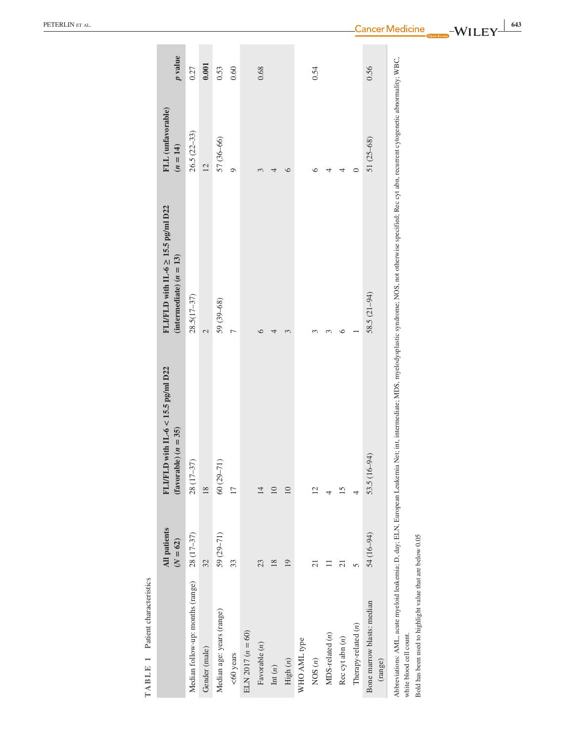| <b>TABLE 1</b> Patient characteristics                                               |                                   |                                                                       |                                                                                                                                                                                                                       |                                 |         |
|--------------------------------------------------------------------------------------|-----------------------------------|-----------------------------------------------------------------------|-----------------------------------------------------------------------------------------------------------------------------------------------------------------------------------------------------------------------|---------------------------------|---------|
|                                                                                      | <b>All patients</b><br>$(N = 62)$ | FLIFLD with $II$ -6 < 15.5 pg/ml D22<br>$\text{(favorable)} (n = 35)$ | FLI/FLD with $II-6 \ge 15.5$ pg/ml $D22$<br>(intermediate) $(n = 13)$                                                                                                                                                 | FLL (unfavorable)<br>$(n = 14)$ | p value |
| Median follow-up: months (range)                                                     | 28 (17-37)                        | 28 (17-37)                                                            | $28.5(17-37)$                                                                                                                                                                                                         | $26.5(22-33)$                   | 0.27    |
| Gender (male)                                                                        | 32                                | 18                                                                    | $\overline{\mathcal{C}}$                                                                                                                                                                                              | $\overline{12}$                 | 0.001   |
| Median age: years (range)                                                            | 59 (29-71)                        | $60(29 - 71)$                                                         | 59 (39-68)                                                                                                                                                                                                            | 57 (36-66)                      | 0.53    |
| $<$ 60 years                                                                         | 33                                | $\Box$                                                                | $\overline{a}$                                                                                                                                                                                                        | $\circ$                         | 0.60    |
| ELN 2017 $(n = 60)$                                                                  |                                   |                                                                       |                                                                                                                                                                                                                       |                                 |         |
| Favorable $(n)$                                                                      | 23                                | $\overline{14}$                                                       | $\circ$                                                                                                                                                                                                               |                                 | 0.68    |
| $\mathrm{Int}\left( n\right)$                                                        | 18                                | $\Box$                                                                | 4                                                                                                                                                                                                                     | 4                               |         |
| High $(n)$                                                                           | 19                                | $\Box$                                                                | 3                                                                                                                                                                                                                     | 6                               |         |
| WHO AML type                                                                         |                                   |                                                                       |                                                                                                                                                                                                                       |                                 |         |
| NOS(n)                                                                               | $\overline{c}$                    | $\overline{2}$                                                        | 3                                                                                                                                                                                                                     | ७                               | 0.54    |
| $MDS$ -related $(n)$                                                                 | Ξ                                 | 4                                                                     | 3                                                                                                                                                                                                                     | 4                               |         |
| Rec cyt abn $(n)$                                                                    | $\overline{c}$                    | 15                                                                    | $\circ$                                                                                                                                                                                                               | 4                               |         |
| Therapy-related (n)                                                                  | 5                                 | 4                                                                     |                                                                                                                                                                                                                       | $\circ$                         |         |
| Bone marrow blasts: median<br>(range)                                                | 54 (16-94)                        | 53.5 (16-94)                                                          | 58.5 (21-94)                                                                                                                                                                                                          | 51 (25-68)                      | 0.56    |
| Bold has been used to highlight value that are below 0.05<br>white blood cell count. |                                   |                                                                       | Abbreviations: AML, acute myeloid leukemia; D, day; ELIN, European Leukemia Net; int, intermediate; MDS, myelodysplastic syndrome; NOS, not otherwise specified; Rec cyt abn, recurrent cytogenetic abnormality; WBC, |                                 |         |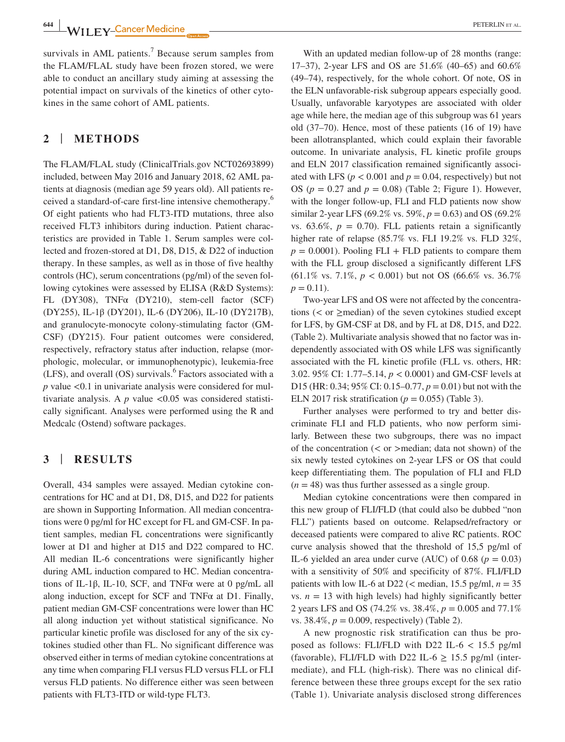**<sup>644</sup> |** PETERLIN et al.

survivals in AML patients.<sup>7</sup> Because serum samples from the FLAM/FLAL study have been frozen stored, we were able to conduct an ancillary study aiming at assessing the potential impact on survivals of the kinetics of other cytokines in the same cohort of AML patients.

# **2** | **METHODS**

The FLAM/FLAL study ([ClinicalTrials.gov](http://ClinicalTrials.gov) NCT02693899) included, between May 2016 and January 2018, 62 AML patients at diagnosis (median age 59 years old). All patients received a standard-of-care first-line intensive chemotherapy.<sup>6</sup> Of eight patients who had FLT3-ITD mutations, three also received FLT3 inhibitors during induction. Patient characteristics are provided in Table 1. Serum samples were collected and frozen-stored at D1, D8, D15, & D22 of induction therapy. In these samples, as well as in those of five healthy controls (HC), serum concentrations (pg/ml) of the seven following cytokines were assessed by ELISA (R&D Systems): FL (DY308), TNFα (DY210), stem-cell factor (SCF) (DY255), IL-1β (DY201), IL-6 (DY206), IL-10 (DY217B), and granulocyte-monocyte colony-stimulating factor (GM-CSF) (DY215). Four patient outcomes were considered, respectively, refractory status after induction, relapse (morphologic, molecular, or immunophenotypic), leukemia-free  $(LFS)$ , and overall  $(OS)$  survivals.<sup>6</sup> Factors associated with a *p* value <0.1 in univariate analysis were considered for multivariate analysis. A  $p$  value <0.05 was considered statistically significant. Analyses were performed using the R and Medcalc (Ostend) software packages.

## **3** | **RESULTS**

Overall, 434 samples were assayed. Median cytokine concentrations for HC and at D1, D8, D15, and D22 for patients are shown in Supporting Information. All median concentrations were 0 pg/ml for HC except for FL and GM-CSF. In patient samples, median FL concentrations were significantly lower at D1 and higher at D15 and D22 compared to HC. All median IL-6 concentrations were significantly higher during AML induction compared to HC. Median concentrations of IL-1β, IL-10, SCF, and TNF $\alpha$  were at 0 pg/mL all along induction, except for SCF and TNFα at D1. Finally, patient median GM-CSF concentrations were lower than HC all along induction yet without statistical significance. No particular kinetic profile was disclosed for any of the six cytokines studied other than FL. No significant difference was observed either in terms of median cytokine concentrations at any time when comparing FLI versus FLD versus FLL or FLI versus FLD patients. No difference either was seen between patients with FLT3-ITD or wild-type FLT3.

With an updated median follow-up of 28 months (range: 17–37), 2-year LFS and OS are 51.6% (40–65) and 60.6% (49–74), respectively, for the whole cohort. Of note, OS in the ELN unfavorable-risk subgroup appears especially good. Usually, unfavorable karyotypes are associated with older age while here, the median age of this subgroup was 61 years old (37–70). Hence, most of these patients (16 of 19) have been allotransplanted, which could explain their favorable outcome. In univariate analysis, FL kinetic profile groups and ELN 2017 classification remained significantly associated with LFS ( $p < 0.001$  and  $p = 0.04$ , respectively) but not OS ( $p = 0.27$  and  $p = 0.08$ ) (Table 2; Figure 1). However, with the longer follow-up, FLI and FLD patients now show similar 2-year LFS (69.2% vs. 59%, *p* = 0.63) and OS (69.2% vs.  $63.6\%$ ,  $p = 0.70$ ). FLL patients retain a significantly higher rate of relapse (85.7% vs. FLI 19.2% vs. FLD 32%,  $p = 0.0001$ ). Pooling FLI + FLD patients to compare them with the FLL group disclosed a significantly different LFS (61.1% vs. 7.1%, *p* < 0.001) but not OS (66.6% vs. 36.7%  $p = 0.11$ .

Two-year LFS and OS were not affected by the concentrations ( $\lt$  or  $\geq$ median) of the seven cytokines studied except for LFS, by GM-CSF at D8, and by FL at D8, D15, and D22. (Table 2). Multivariate analysis showed that no factor was independently associated with OS while LFS was significantly associated with the FL kinetic profile (FLL vs. others, HR: 3.02. 95% CI: 1.77–5.14, *p* < 0.0001) and GM-CSF levels at D15 (HR: 0.34; 95% CI: 0.15–0.77, *p* = 0.01) but not with the ELN 2017 risk stratification ( $p = 0.055$ ) (Table 3).

Further analyses were performed to try and better discriminate FLI and FLD patients, who now perform similarly. Between these two subgroups, there was no impact of the concentration (< or >median; data not shown) of the six newly tested cytokines on 2-year LFS or OS that could keep differentiating them. The population of FLI and FLD  $(n = 48)$  was thus further assessed as a single group.

Median cytokine concentrations were then compared in this new group of FLI/FLD (that could also be dubbed "non FLL") patients based on outcome. Relapsed/refractory or deceased patients were compared to alive RC patients. ROC curve analysis showed that the threshold of 15,5 pg/ml of IL-6 yielded an area under curve (AUC) of 0.68 ( $p = 0.03$ ) with a sensitivity of 50% and specificity of 87%. FLI/FLD patients with low IL-6 at D22 (< median, 15.5 pg/ml, *n* = 35 vs.  $n = 13$  with high levels) had highly significantly better 2 years LFS and OS (74.2% vs. 38.4%, *p* = 0.005 and 77.1% vs. 38.4%,  $p = 0.009$ , respectively) (Table 2).

A new prognostic risk stratification can thus be proposed as follows: FLI/FLD with D22 IL-6  $<$  15.5 pg/ml (favorable), FLI/FLD with D22 IL-6  $\geq$  15.5 pg/ml (intermediate), and FLL (high-risk). There was no clinical difference between these three groups except for the sex ratio (Table 1). Univariate analysis disclosed strong differences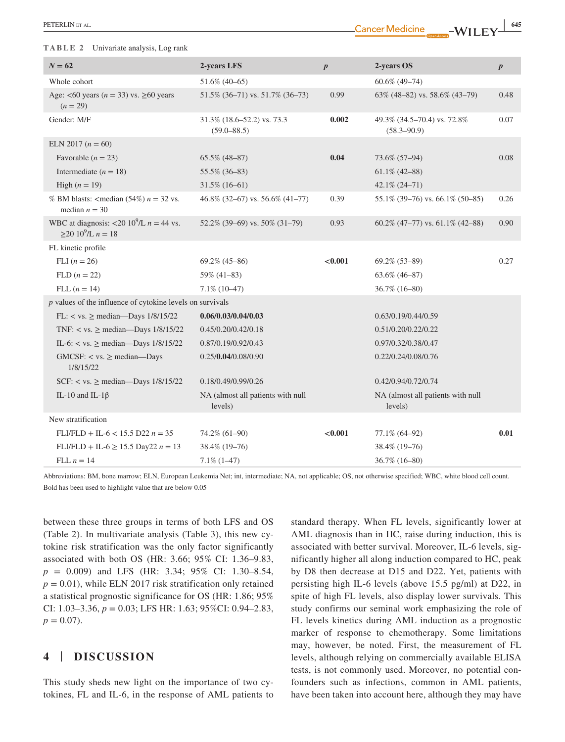#### **TABLE 2** Univariate analysis, Log rank

| ٠ |  |
|---|--|
|   |  |

| $N = 62$                                                                                     | 2-years LFS                                   | $\boldsymbol{p}$ | 2-years OS                                     | $\boldsymbol{p}$ |
|----------------------------------------------------------------------------------------------|-----------------------------------------------|------------------|------------------------------------------------|------------------|
| Whole cohort                                                                                 | 51.6% (40-65)                                 |                  | $60.6\%$ (49-74)                               |                  |
| Age: <60 years ( $n = 33$ ) vs. $\geq 60$ years<br>$(n = 29)$                                | 51.5% (36-71) vs. 51.7% (36-73)               | 0.99             | 63% (48-82) vs. 58.6% (43-79)                  | 0.48             |
| Gender: M/F                                                                                  | 31.3% (18.6–52.2) vs. 73.3<br>$(59.0 - 88.5)$ | 0.002            | 49.3% (34.5–70.4) vs. 72.8%<br>$(58.3 - 90.9)$ | 0.07             |
| ELN 2017 $(n = 60)$                                                                          |                                               |                  |                                                |                  |
| Favorable $(n = 23)$                                                                         | $65.5\%$ (48-87)                              | 0.04             | 73.6% (57-94)                                  | 0.08             |
| Intermediate ( $n = 18$ )                                                                    | 55.5% (36-83)                                 |                  | $61.1\%$ (42-88)                               |                  |
| High $(n = 19)$                                                                              | $31.5\%$ (16-61)                              |                  | 42.1% (24-71)                                  |                  |
| % BM blasts: <median <math="">(54%) n = 32 vs.<br/>median <math>n = 30</math></median>       | 46.8% (32–67) vs. 56.6% (41–77)               | 0.39             | $55.1\%$ (39-76) vs. 66.1% (50-85)             | 0.26             |
| WBC at diagnosis: <20 10 <sup>9</sup> /L $n = 44$ vs.<br>$\geq$ 20 10 <sup>9</sup> /L n = 18 | 52.2% (39-69) vs. 50% (31-79)                 | 0.93             | 60.2% (47-77) vs. 61.1% (42-88)                | 0.90             |
| FL kinetic profile                                                                           |                                               |                  |                                                |                  |
| FLI $(n = 26)$                                                                               | $69.2\%$ (45-86)                              | < 0.001          | $69.2\%$ $(53-89)$                             | 0.27             |
| $FLD (n = 22)$                                                                               | 59% (41-83)                                   |                  | $63.6\%$ (46-87)                               |                  |
| FLL $(n = 14)$                                                                               | $7.1\%$ (10-47)                               |                  | $36.7\%$ (16-80)                               |                  |
| $p$ values of the influence of cytokine levels on survivals                                  |                                               |                  |                                                |                  |
| FL: $\langle$ vs. $\geq$ median-Days 1/8/15/22                                               | 0.06/0.03/0.04/0.03                           |                  | 0.63/0.19/0.44/0.59                            |                  |
| TNF: $\langle$ vs. $\geq$ median—Days 1/8/15/22                                              | 0.45/0.20/0.42/0.18                           |                  | 0.51/0.20/0.22/0.22                            |                  |
| IL-6: $\langle$ vs. $\geq$ median—Days 1/8/15/22                                             | 0.87/0.19/0.92/0.43                           |                  | 0.97/0.32/0.38/0.47                            |                  |
| GMCSF: $\langle$ vs. $\rangle$ median—Days<br>1/8/15/22                                      | 0.25/0.04/0.08/0.90                           |                  | 0.22/0.24/0.08/0.76                            |                  |
| SCF: $\langle$ vs. $\geq$ median—Days 1/8/15/22                                              | 0.18/0.49/0.99/0.26                           |                  | 0.42/0.94/0.72/0.74                            |                  |
| IL-10 and IL-1 $\beta$                                                                       | NA (almost all patients with null<br>levels)  |                  | NA (almost all patients with null<br>levels)   |                  |
| New stratification                                                                           |                                               |                  |                                                |                  |
| $FLI/FLD + IL-6 < 15.5 D22 n = 35$                                                           | 74.2% (61-90)                                 | < 0.001          | 77.1% (64-92)                                  | 0.01             |
| $FLI/FLD + IL-6 \ge 15.5 \text{ Day} 22 n = 13$                                              | 38.4% (19-76)                                 |                  | 38.4% (19-76)                                  |                  |
| FLL $n = 14$                                                                                 | $7.1\%$ $(1-47)$                              |                  | 36.7% (16-80)                                  |                  |

Abbreviations: BM, bone marrow; ELN, European Leukemia Net; int, intermediate; NA, not applicable; OS, not otherwise specified; WBC, white blood cell count. Bold has been used to highlight value that are below 0.05

between these three groups in terms of both LFS and OS (Table 2). In multivariate analysis (Table 3), this new cytokine risk stratification was the only factor significantly associated with both OS (HR: 3.66; 95% CI: 1.36–9.83, *p* = 0.009) and LFS (HR: 3.34; 95% CI: 1.30–8.54,  $p = 0.01$ , while ELN 2017 risk stratification only retained a statistical prognostic significance for OS (HR: 1.86; 95% CI: 1.03–3.36, *p* = 0.03; LFS HR: 1.63; 95%CI: 0.94–2.83,  $p = 0.07$ .

# **4** | **DISCUSSION**

This study sheds new light on the importance of two cytokines, FL and IL-6, in the response of AML patients to standard therapy. When FL levels, significantly lower at AML diagnosis than in HC, raise during induction, this is associated with better survival. Moreover, IL-6 levels, significantly higher all along induction compared to HC, peak by D8 then decrease at D15 and D22. Yet, patients with persisting high IL-6 levels (above 15.5 pg/ml) at D22, in spite of high FL levels, also display lower survivals. This study confirms our seminal work emphasizing the role of FL levels kinetics during AML induction as a prognostic marker of response to chemotherapy. Some limitations may, however, be noted. First, the measurement of FL levels, although relying on commercially available ELISA tests, is not commonly used. Moreover, no potential confounders such as infections, common in AML patients, have been taken into account here, although they may have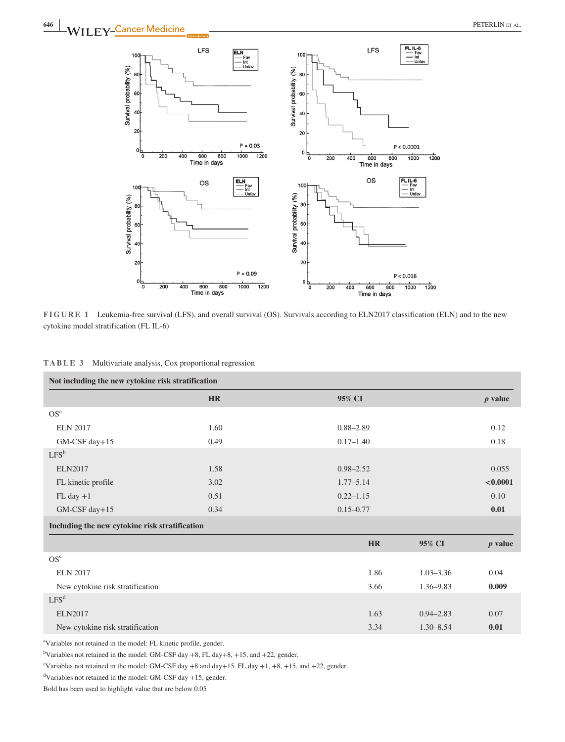



|  | TABLE 3 |  | Multivariate analysis, Cox proportional regression |  |  |  |  |
|--|---------|--|----------------------------------------------------|--|--|--|--|
|--|---------|--|----------------------------------------------------|--|--|--|--|

| Not including the new cytokine risk stratification |           |                       |           |
|----------------------------------------------------|-----------|-----------------------|-----------|
|                                                    | <b>HR</b> | 95% CI                | $p$ value |
| OS <sup>a</sup>                                    |           |                       |           |
| <b>ELN 2017</b>                                    | 1.60      | $0.88 - 2.89$         | 0.12      |
| GM-CSF day+15                                      | 0.49      | $0.17 - 1.40$         | 0.18      |
| $LFS^b$                                            |           |                       |           |
| <b>ELN2017</b>                                     | 1.58      | $0.98 - 2.52$         | 0.055     |
| FL kinetic profile                                 | 3.02      | $1.77 - 5.14$         | < 0.0001  |
| $FL$ day $+1$                                      | 0.51      | $0.22 - 1.15$         | 0.10      |
| GM-CSF day+15                                      | 0.34      | $0.15 - 0.77$         | 0.01      |
| Including the new cytokine risk stratification     |           |                       |           |
|                                                    |           | <b>HR</b><br>95% CI   | $p$ value |
| OS <sup>c</sup>                                    |           |                       |           |
| <b>ELN 2017</b>                                    |           | $1.03 - 3.36$<br>1.86 | 0.04      |
| New cytokine risk stratification                   |           | 3.66<br>1.36-9.83     | 0.009     |
| LFS <sup>d</sup>                                   |           |                       |           |
| <b>ELN2017</b>                                     |           | 1.63<br>$0.94 - 2.83$ | 0.07      |
| New cytokine risk stratification                   |           | 3.34<br>$1.30 - 8.54$ | 0.01      |

a Variables not retained in the model: FL kinetic profile, gender.

<sup>b</sup>Variables not retained in the model: GM-CSF day +8, FL day +8, +15, and +22, gender.

"Variables not retained in the model: GM-CSF day  $+8$  and day $+15$ . FL day  $+1$ ,  $+8$ ,  $+15$ , and  $+22$ , gender.

d Variables not retained in the model: GM-CSF day +15, gender.

Bold has been used to highlight value that are below 0.05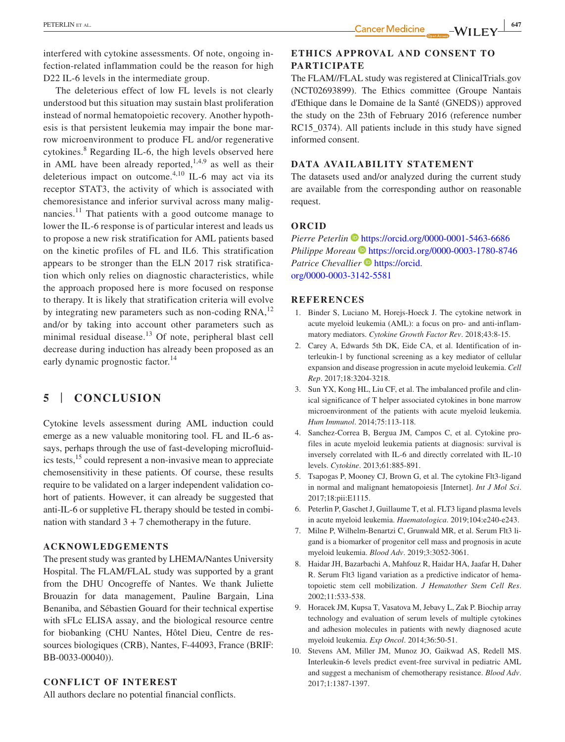interfered with cytokine assessments. Of note, ongoing infection-related inflammation could be the reason for high D22 IL-6 levels in the intermediate group.

The deleterious effect of low FL levels is not clearly understood but this situation may sustain blast proliferation instead of normal hematopoietic recovery. Another hypothesis is that persistent leukemia may impair the bone marrow microenvironment to produce FL and/or regenerative cytokines.<sup>8</sup> Regarding IL-6, the high levels observed here in AML have been already reported, $1,4,9$  as well as their deleterious impact on outcome.<sup>4,10</sup> IL-6 may act via its receptor STAT3, the activity of which is associated with chemoresistance and inferior survival across many malignancies.<sup>11</sup> That patients with a good outcome manage to lower the IL-6 response is of particular interest and leads us to propose a new risk stratification for AML patients based on the kinetic profiles of FL and IL6. This stratification appears to be stronger than the ELN 2017 risk stratification which only relies on diagnostic characteristics, while the approach proposed here is more focused on response to therapy. It is likely that stratification criteria will evolve by integrating new parameters such as non-coding RNA,<sup>12</sup> and/or by taking into account other parameters such as minimal residual disease. $13$  Of note, peripheral blast cell decrease during induction has already been proposed as an early dynamic prognostic factor.<sup>14</sup>

## **5** | **CONCLUSION**

Cytokine levels assessment during AML induction could emerge as a new valuable monitoring tool. FL and IL-6 assays, perhaps through the use of fast-developing microfluidics tests,<sup>15</sup> could represent a non-invasive mean to appreciate chemosensitivity in these patients. Of course, these results require to be validated on a larger independent validation cohort of patients. However, it can already be suggested that anti-IL-6 or suppletive FL therapy should be tested in combination with standard  $3 + 7$  chemotherapy in the future.

#### **ACKNOWLEDGEMENTS**

The present study was granted by LHEMA/Nantes University Hospital. The FLAM/FLAL study was supported by a grant from the DHU Oncogreffe of Nantes. We thank Juliette Brouazin for data management, Pauline Bargain, Lina Benaniba, and Sébastien Gouard for their technical expertise with sFLc ELISA assay, and the biological resource centre for biobanking (CHU Nantes, Hôtel Dieu, Centre de ressources biologiques (CRB), Nantes, F-44093, France (BRIF: BB-0033-00040)).

#### **CONFLICT OF INTEREST**

All authors declare no potential financial conflicts.

## **ETHICS APPROVAL AND CONSENT TO PARTICIPATE**

The FLAM//FLAL study was registered at [ClinicalTrials.gov](http://ClinicalTrials.gov)  (NCT02693899). The Ethics committee (Groupe Nantais d'Ethique dans le Domaine de la Santé (GNEDS)) approved the study on the 23th of February 2016 (reference number RC15\_0374). All patients include in this study have signed informed consent.

## **DATA AVAILABILITY STATEMENT**

The datasets used and/or analyzed during the current study are available from the corresponding author on reasonable request.

### **ORCID**

*Pierre Peterlin* <https://orcid.org/0000-0001-5463-6686> *Philippe Moreau* **b** <https://orcid.org/0000-0003-1780-8746> *Patrice Chevallier* **I**b [https://orcid.](https://orcid.org/0000-0003-3142-5581) [org/0000-0003-3142-5581](https://orcid.org/0000-0003-3142-5581)

#### **REFERENCES**

- 1. Binder S, Luciano M, Horejs-Hoeck J. The cytokine network in acute myeloid leukemia (AML): a focus on pro- and anti-inflammatory mediators. *Cytokine Growth Factor Rev*. 2018;43:8-15.
- 2. Carey A, Edwards 5th DK, Eide CA, et al. Identification of interleukin-1 by functional screening as a key mediator of cellular expansion and disease progression in acute myeloid leukemia. *Cell Rep*. 2017;18:3204-3218.
- 3. Sun YX, Kong HL, Liu CF, et al. The imbalanced profile and clinical significance of T helper associated cytokines in bone marrow microenvironment of the patients with acute myeloid leukemia. *Hum Immunol*. 2014;75:113-118.
- 4. Sanchez-Correa B, Bergua JM, Campos C, et al. Cytokine profiles in acute myeloid leukemia patients at diagnosis: survival is inversely correlated with IL-6 and directly correlated with IL-10 levels. *Cytokine*. 2013;61:885-891.
- 5. Tsapogas P, Mooney CJ, Brown G, et al. The cytokine Flt3-ligand in normal and malignant hematopoiesis [Internet]. *Int J Mol Sci*. 2017;18:pii:E1115.
- 6. Peterlin P, Gaschet J, Guillaume T, et al. FLT3 ligand plasma levels in acute myeloid leukemia. *Haematologica*. 2019;104:e240-e243.
- 7. Milne P, Wilhelm-Benartzi C, Grunwald MR, et al. Serum Flt3 ligand is a biomarker of progenitor cell mass and prognosis in acute myeloid leukemia. *Blood Adv*. 2019;3:3052-3061.
- 8. Haidar JH, Bazarbachi A, Mahfouz R, Haidar HA, Jaafar H, Daher R. Serum Flt3 ligand variation as a predictive indicator of hematopoietic stem cell mobilization. *J Hematother Stem Cell Res*. 2002;11:533-538.
- 9. Horacek JM, Kupsa T, Vasatova M, Jebavy L, Zak P. Biochip array technology and evaluation of serum levels of multiple cytokines and adhesion molecules in patients with newly diagnosed acute myeloid leukemia. *Exp Oncol*. 2014;36:50-51.
- 10. Stevens AM, Miller JM, Munoz JO, Gaikwad AS, Redell MS. Interleukin-6 levels predict event-free survival in pediatric AML and suggest a mechanism of chemotherapy resistance. *Blood Adv*. 2017;1:1387-1397.